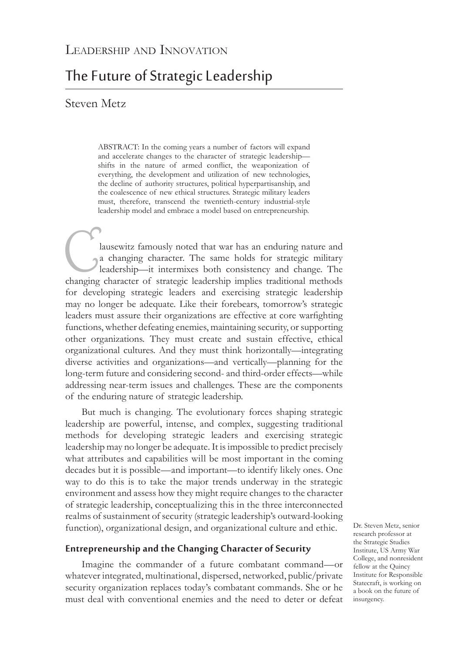# The Future of Strategic Leadership

# Steven Metz

ABSTRACT: In the coming years a number of factors will expand and accelerate changes to the character of strategic leadership shifts in the nature of armed conflict, the weaponization of everything, the development and utilization of new technologies, the decline of authority structures, political hyperpartisanship, and the coalescence of new ethical structures. Strategic military leaders must, therefore, transcend the twentieth-century industrial-style leadership model and embrace a model based on entrepreneurship.

Iausewitz famously noted that war has an enduring nature and<br>a changing character. The same holds for strategic military<br>leadership—it intermixes both consistency and change. The<br>changing character of strategic leadership a changing character. The same holds for strategic military leadership—it intermixes both consistency and change. The changing character of strategic leadership implies traditional methods for developing strategic leaders and exercising strategic leadership may no longer be adequate. Like their forebears, tomorrow's strategic leaders must assure their organizations are effective at core warfighting functions, whether defeating enemies, maintaining security, or supporting other organizations. They must create and sustain effective, ethical organizational cultures. And they must think horizontally—integrating diverse activities and organizations—and vertically—planning for the long-term future and considering second- and third-order effects—while addressing near-term issues and challenges. These are the components of the enduring nature of strategic leadership.

But much is changing. The evolutionary forces shaping strategic leadership are powerful, intense, and complex, suggesting traditional methods for developing strategic leaders and exercising strategic leadership may no longer be adequate. It is impossible to predict precisely what attributes and capabilities will be most important in the coming decades but it is possible—and important—to identify likely ones. One way to do this is to take the major trends underway in the strategic environment and assess how they might require changes to the character of strategic leadership, conceptualizing this in the three interconnected realms of sustainment of security (strategic leadership's outward-looking function), organizational design, and organizational culture and ethic.

# **Entrepreneurship and the Changing Character of Security**

Imagine the commander of a future combatant command—or whatever integrated, multinational, dispersed, networked, public/private security organization replaces today's combatant commands. She or he must deal with conventional enemies and the need to deter or defeat

Dr. Steven Metz, senior research professor at the Strategic Studies Institute, US Army War College, and nonresident fellow at the Quincy Institute for Responsible Statecraft, is working on a book on the future of insurgency.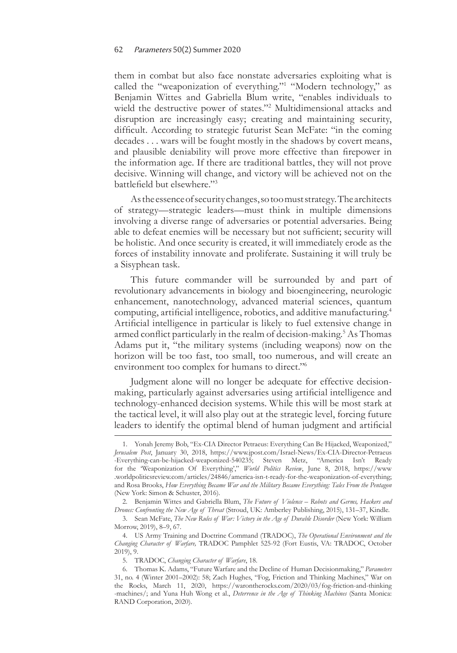#### 62 Parameters 50(2) Summer 2020

them in combat but also face nonstate adversaries exploiting what is called the "weaponization of everything."<sup>1</sup> "Modern technology," as Benjamin Wittes and Gabriella Blum write, "enables individuals to wield the destructive power of states."2 Multidimensional attacks and disruption are increasingly easy; creating and maintaining security, difficult. According to strategic futurist Sean McFate: "in the coming decades . . . wars will be fought mostly in the shadows by covert means, and plausible deniability will prove more effective than firepower in the information age. If there are traditional battles, they will not prove decisive. Winning will change, and victory will be achieved not on the battlefield but elsewhere."<sup>3</sup>

As the essence of security changes, so too must strategy. The architects of strategy—strategic leaders—must think in multiple dimensions involving a diverse range of adversaries or potential adversaries. Being able to defeat enemies will be necessary but not sufficient; security will be holistic. And once security is created, it will immediately erode as the forces of instability innovate and proliferate. Sustaining it will truly be a Sisyphean task.

This future commander will be surrounded by and part of revolutionary advancements in biology and bioengineering, neurologic enhancement, nanotechnology, advanced material sciences, quantum computing, artificial intelligence, robotics, and additive manufacturing.<sup>4</sup> Artificial intelligence in particular is likely to fuel extensive change in armed conflict particularly in the realm of decision-making.<sup>5</sup> As Thomas Adams put it, "the military systems (including weapons) now on the horizon will be too fast, too small, too numerous, and will create an environment too complex for humans to direct."6

Judgment alone will no longer be adequate for effective decisionmaking, particularly against adversaries using artificial intelligence and technology-enhanced decision systems. While this will be most stark at the tactical level, it will also play out at the strategic level, forcing future leaders to identify the optimal blend of human judgment and artificial

<sup>1.</sup> Yonah Jeremy Bob, "Ex-CIA Director Petraeus: Everything Can Be Hijacked, Weaponized," *Jerusalem Post*, January 30, 2018, [https://www.jpost.com/Israel-News/Ex-CIA-Director-Petraeus](https://www.jpost.com/Israel-News/Ex-CIA-Director-Petraeus-Everything-can-be-hijacked-weaponized-540235) [-Everything-can-be-hijacked-weaponized-540235;](https://www.jpost.com/Israel-News/Ex-CIA-Director-Petraeus-Everything-can-be-hijacked-weaponized-540235) Steven Metz, "America Isn't Ready for the 'Weaponization Of Everything'," *World Politics Review*, June 8, 2018, [https://www](https://www.worldpoliticsreview.com/articles/24846/america-isn-t-ready-for-the-weaponization-of-everything) [.worldpoliticsreview.com/articles/24846/america-isn-t-ready-for-the-weaponization-of-everything](https://www.worldpoliticsreview.com/articles/24846/america-isn-t-ready-for-the-weaponization-of-everything); and Rosa Brooks, *How Everything Became War and the Military Became Everything: Tales From the Pentagon* (New York: Simon & Schuster, 2016).

<sup>2.</sup> Benjamin Wittes and Gabriella Blum, *The Future of Violence – Robots and Germs, Hackers and Drones: Confronting the New Age of Threat* (Stroud, UK: Amberley Publishing, 2015), 131–37, Kindle.

<sup>3.</sup> Sean McFate, *The New Rules of War: Victory in the Age of Durable Disorder* (New York: William Morrow, 2019), 8–9, 67.

<sup>4.</sup> US Army Training and Doctrine Command (TRADOC), *The Operational Environment and the Changing Character of Warfare,* TRADOC Pamphlet 525-92 (Fort Eustis, VA: TRADOC, October 2019), 9.

<sup>5.</sup> TRADOC, *Changing Character of Warfare*, 18.

<sup>6.</sup> Thomas K. Adams, "Future Warfare and the Decline of Human Decisionmaking," *Parameters* 31, no. 4 (Winter 2001–2002): 58; Zach Hughes, "Fog, Friction and Thinking Machines," War on the Rocks, March 11, 2020, [https://warontherocks.com/2020/03/fog-friction-and-thinking](https://warontherocks.com/2020/03/fog-friction-and-thinking-machines/) [-machines/](https://warontherocks.com/2020/03/fog-friction-and-thinking-machines/); and Yuna Huh Wong et al., *Deterrence in the Age of Thinking Machines* (Santa Monica: RAND Corporation, 2020).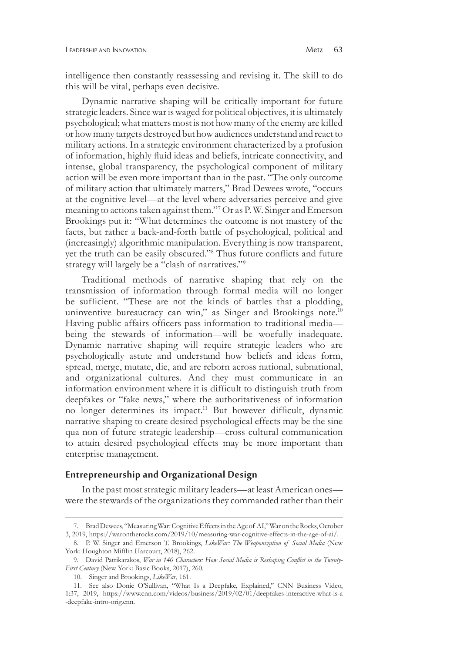intelligence then constantly reassessing and revising it. The skill to do this will be vital, perhaps even decisive.

Dynamic narrative shaping will be critically important for future strategic leaders. Since war is waged for political objectives, it is ultimately psychological; what matters most is not how many of the enemy are killed or how many targets destroyed but how audiences understand and react to military actions. In a strategic environment characterized by a profusion of information, highly fluid ideas and beliefs, intricate connectivity, and intense, global transparency, the psychological component of military action will be even more important than in the past. "The only outcome of military action that ultimately matters," Brad Dewees wrote, "occurs at the cognitive level—at the level where adversaries perceive and give meaning to actions taken against them."7 Or as P. W. Singer and Emerson Brookings put it: "What determines the outcome is not mastery of the facts, but rather a back-and-forth battle of psychological, political and (increasingly) algorithmic manipulation. Everything is now transparent, yet the truth can be easily obscured."8 Thus future conflicts and future strategy will largely be a "clash of narratives."9

Traditional methods of narrative shaping that rely on the transmission of information through formal media will no longer be sufficient. "These are not the kinds of battles that a plodding, uninventive bureaucracy can win," as Singer and Brookings note.<sup>10</sup> Having public affairs officers pass information to traditional media being the stewards of information—will be woefully inadequate. Dynamic narrative shaping will require strategic leaders who are psychologically astute and understand how beliefs and ideas form, spread, merge, mutate, die, and are reborn across national, subnational, and organizational cultures. And they must communicate in an information environment where it is difficult to distinguish truth from deepfakes or "fake news," where the authoritativeness of information no longer determines its impact.<sup>11</sup> But however difficult, dynamic narrative shaping to create desired psychological effects may be the sine qua non of future strategic leadership—cross-cultural communication to attain desired psychological effects may be more important than enterprise management.

## **Entrepreneurship and Organizational Design**

In the past most strategic military leaders—at least American ones were the stewards of the organizations they commanded rather than their

<sup>7.</sup> Brad Dewees, "Measuring War: Cognitive Effects in the Age of AI," War on the Rocks, October 3, 2019, [https://warontherocks.com/2019/10/measuring-war-cognitive-effects-in-the-age-of-ai/.](https://warontherocks.com/2019/10/measuring-war-cognitive-effects-in-the-age-of-ai/)

<sup>8.</sup> P. W. Singer and Emerson T. Brookings, *LikeWar: The Weaponization of Social Media* (New York: Houghton Mifflin Harcourt, 2018), 262.

<sup>9.</sup> David Patrikarakos, *War in 140 Characters: How Social Media is Reshaping Conflict in the Twenty-First Century* (New York: Basic Books, 2017), 260.

<sup>10.</sup> Singer and Brookings, *LikeWar*, 161.

<sup>11.</sup> See also Donie O'Sullivan, "What Is a Deepfake, Explained," CNN Business Video, 1:37, 2019, [https://www.cnn.com/videos/business/2019/02/01/deepfakes-interactive-what-is-a](https://www.cnn.com/videos/business/2019/02/01/deepfakes-interactive-what-is-a-deepfake-intro-orig.cnn) [-deepfake-intro-orig.cnn](https://www.cnn.com/videos/business/2019/02/01/deepfakes-interactive-what-is-a-deepfake-intro-orig.cnn).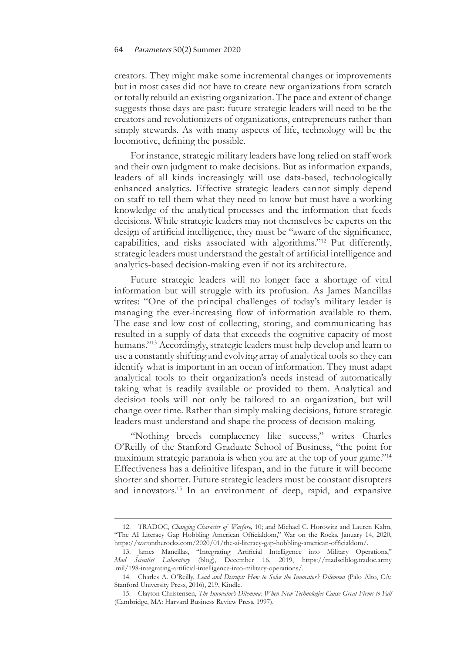#### 64 Parameters 50(2) Summer 2020

creators. They might make some incremental changes or improvements but in most cases did not have to create new organizations from scratch or totally rebuild an existing organization. The pace and extent of change suggests those days are past: future strategic leaders will need to be the creators and revolutionizers of organizations, entrepreneurs rather than simply stewards. As with many aspects of life, technology will be the locomotive, defining the possible.

For instance, strategic military leaders have long relied on staff work and their own judgment to make decisions. But as information expands, leaders of all kinds increasingly will use data-based, technologically enhanced analytics. Effective strategic leaders cannot simply depend on staff to tell them what they need to know but must have a working knowledge of the analytical processes and the information that feeds decisions. While strategic leaders may not themselves be experts on the design of artificial intelligence, they must be "aware of the significance, capabilities, and risks associated with algorithms."12 Put differently, strategic leaders must understand the gestalt of artificial intelligence and analytics-based decision-making even if not its architecture.

Future strategic leaders will no longer face a shortage of vital information but will struggle with its profusion. As James Mancillas writes: "One of the principal challenges of today's military leader is managing the ever-increasing flow of information available to them. The ease and low cost of collecting, storing, and communicating has resulted in a supply of data that exceeds the cognitive capacity of most humans."13 Accordingly, strategic leaders must help develop and learn to use a constantly shifting and evolving array of analytical tools so they can identify what is important in an ocean of information. They must adapt analytical tools to their organization's needs instead of automatically taking what is readily available or provided to them. Analytical and decision tools will not only be tailored to an organization, but will change over time. Rather than simply making decisions, future strategic leaders must understand and shape the process of decision-making.

"Nothing breeds complacency like success," writes Charles O'Reilly of the Stanford Graduate School of Business, "the point for maximum strategic paranoia is when you are at the top of your game."14 Effectiveness has a definitive lifespan, and in the future it will become shorter and shorter. Future strategic leaders must be constant disrupters and innovators.15 In an environment of deep, rapid, and expansive

<sup>12.</sup> TRADOC, *Changing Character of Warfare,* 10; and Michael C. Horowitz and Lauren Kahn, "The AI Literacy Gap Hobbling American Officialdom," War on the Rocks, January 14, 2020, <https://warontherocks.com/2020/01/the-ai-literacy-gap-hobbling-american-officialdom/>.

<sup>13.</sup> James Mancillas, "Integrating Artificial Intelligence into Military Operations," *Mad Scientist Laboratory* (blog), December 16, 2019, [https://madsciblog.tradoc.army](https://madsciblog.tradoc.army.mil/198-integrating-artificial-intelligence-into-military-operations/.) [.mil/198-integrating-artificial-intelligence-into-military-operations/](https://madsciblog.tradoc.army.mil/198-integrating-artificial-intelligence-into-military-operations/.).

<sup>14.</sup> Charles A. O'Reilly, *Lead and Disrupt: How to Solve the Innovator's Dilemma* (Palo Alto, CA: Stanford University Press, 2016), 219, Kindle.

<sup>15.</sup> Clayton Christensen, *The Innovator's Dilemma: When New Technologies Cause Great Firms to Fail* (Cambridge, MA: Harvard Business Review Press, 1997).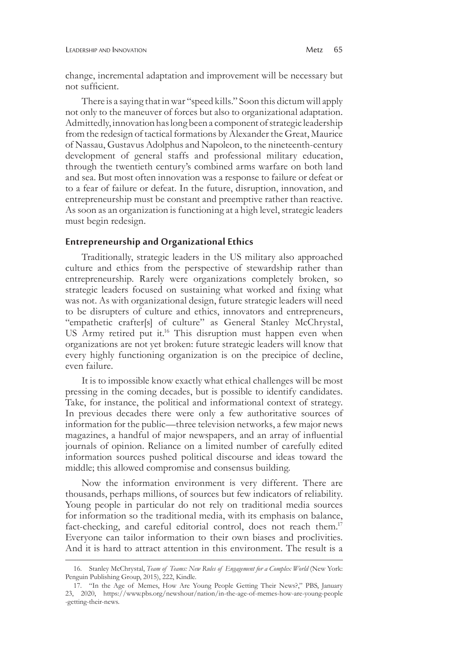change, incremental adaptation and improvement will be necessary but not sufficient.

There is a saying that in war "speed kills." Soon this dictum will apply not only to the maneuver of forces but also to organizational adaptation. Admittedly, innovation has long been a component of strategic leadership from the redesign of tactical formations by Alexander the Great, Maurice of Nassau, Gustavus Adolphus and Napoleon, to the nineteenth-century development of general staffs and professional military education, through the twentieth century's combined arms warfare on both land and sea. But most often innovation was a response to failure or defeat or to a fear of failure or defeat. In the future, disruption, innovation, and entrepreneurship must be constant and preemptive rather than reactive. As soon as an organization is functioning at a high level, strategic leaders must begin redesign.

## **Entrepreneurship and Organizational Ethics**

Traditionally, strategic leaders in the US military also approached culture and ethics from the perspective of stewardship rather than entrepreneurship. Rarely were organizations completely broken, so strategic leaders focused on sustaining what worked and fixing what was not. As with organizational design, future strategic leaders will need to be disrupters of culture and ethics, innovators and entrepreneurs, "empathetic crafter[s] of culture" as General Stanley McChrystal, US Army retired put it.<sup>16</sup> This disruption must happen even when organizations are not yet broken: future strategic leaders will know that every highly functioning organization is on the precipice of decline, even failure.

It is to impossible know exactly what ethical challenges will be most pressing in the coming decades, but is possible to identify candidates. Take, for instance, the political and informational context of strategy. In previous decades there were only a few authoritative sources of information for the public—three television networks, a few major news magazines, a handful of major newspapers, and an array of influential journals of opinion. Reliance on a limited number of carefully edited information sources pushed political discourse and ideas toward the middle; this allowed compromise and consensus building.

Now the information environment is very different. There are thousands, perhaps millions, of sources but few indicators of reliability. Young people in particular do not rely on traditional media sources for information so the traditional media, with its emphasis on balance, fact-checking, and careful editorial control, does not reach them.<sup>17</sup> Everyone can tailor information to their own biases and proclivities. And it is hard to attract attention in this environment. The result is a

<sup>16.</sup> Stanley McChrystal, *Team of Teams: New Rules of Engagement for a Complex World* (New York: Penguin Publishing Group, 2015), 222, Kindle.

<sup>17.</sup> "In the Age of Memes, How Are Young People Getting Their News?," PBS, January 23, 2020, [https://www.pbs.org/newshour/nation/in-the-age-of-memes-how-are-young-people](https://www.pbs.org/newshour/nation/in-the-age-of-memes-how-are-young-people-getting-their-news.) [-getting-their-news.](https://www.pbs.org/newshour/nation/in-the-age-of-memes-how-are-young-people-getting-their-news.)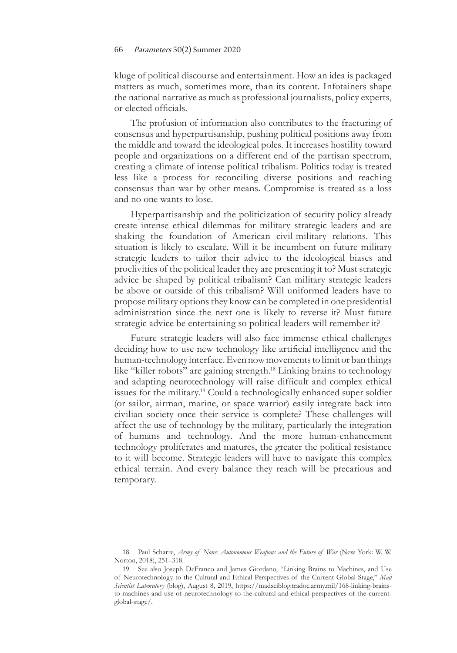#### 66 Parameters 50(2) Summer 2020

kluge of political discourse and entertainment. How an idea is packaged matters as much, sometimes more, than its content. Infotainers shape the national narrative as much as professional journalists, policy experts, or elected officials.

The profusion of information also contributes to the fracturing of consensus and hyperpartisanship, pushing political positions away from the middle and toward the ideological poles. It increases hostility toward people and organizations on a different end of the partisan spectrum, creating a climate of intense political tribalism. Politics today is treated less like a process for reconciling diverse positions and reaching consensus than war by other means. Compromise is treated as a loss and no one wants to lose.

Hyperpartisanship and the politicization of security policy already create intense ethical dilemmas for military strategic leaders and are shaking the foundation of American civil-military relations. This situation is likely to escalate. Will it be incumbent on future military strategic leaders to tailor their advice to the ideological biases and proclivities of the political leader they are presenting it to? Must strategic advice be shaped by political tribalism? Can military strategic leaders be above or outside of this tribalism? Will uniformed leaders have to propose military options they know can be completed in one presidential administration since the next one is likely to reverse it? Must future strategic advice be entertaining so political leaders will remember it?

Future strategic leaders will also face immense ethical challenges deciding how to use new technology like artificial intelligence and the human-technology interface. Even now movements to limit or ban things like "killer robots" are gaining strength.<sup>18</sup> Linking brains to technology and adapting neurotechnology will raise difficult and complex ethical issues for the military.<sup>19</sup> Could a technologically enhanced super soldier (or sailor, airman, marine, or space warrior) easily integrate back into civilian society once their service is complete? These challenges will affect the use of technology by the military, particularly the integration of humans and technology. And the more human-enhancement technology proliferates and matures, the greater the political resistance to it will become. Strategic leaders will have to navigate this complex ethical terrain. And every balance they reach will be precarious and temporary.

<sup>18.</sup> Paul Scharre, *Army of None: Autonomous Weapons and the Future of War* (New York: W. W. Norton, 2018), 251–318.

<sup>19.</sup> See also Joseph DeFranco and James Giordano, "Linking Brains to Machines, and Use of Neurotechnology to the Cultural and Ethical Perspectives of the Current Global Stage," *Mad Scientist Laboratory* (blog), August 8, 2019, [https://madsciblog.tradoc.army.mil/168-linking-brains](https://madsciblog.tradoc.army.mil/168-linking-brains-to-machines-and-use-of-neurotechnology-to-the-cultural-and-ethical-perspectives-of-the-current-global-stage/)[to-machines-and-use-of-neurotechnology-to-the-cultural-and-ethical-perspectives-of-the-current](https://madsciblog.tradoc.army.mil/168-linking-brains-to-machines-and-use-of-neurotechnology-to-the-cultural-and-ethical-perspectives-of-the-current-global-stage/)[global-stage/.](https://madsciblog.tradoc.army.mil/168-linking-brains-to-machines-and-use-of-neurotechnology-to-the-cultural-and-ethical-perspectives-of-the-current-global-stage/)